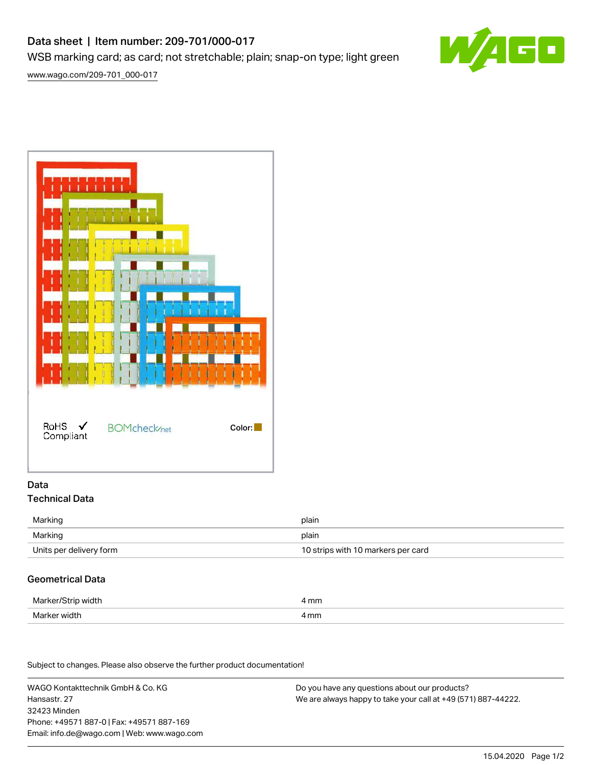# Data sheet | Item number: 209-701/000-017

WSB marking card; as card; not stretchable; plain; snap-on type; light green



[www.wago.com/209-701\\_000-017](http://www.wago.com/209-701_000-017)



## Data Technical Data

| Marking                 | plain                              |
|-------------------------|------------------------------------|
| Marking                 | plain                              |
| Units per delivery form | 10 strips with 10 markers per card |

# Geometrical Data

| Marker/Strip width | mm   |
|--------------------|------|
| Marker width       | 4 mm |

Subject to changes. Please also observe the further product documentation!

WAGO Kontakttechnik GmbH & Co. KG Hansastr. 27 32423 Minden Phone: +49571 887-0 | Fax: +49571 887-169 Email: info.de@wago.com | Web: www.wago.com

Do you have any questions about our products? We are always happy to take your call at +49 (571) 887-44222.